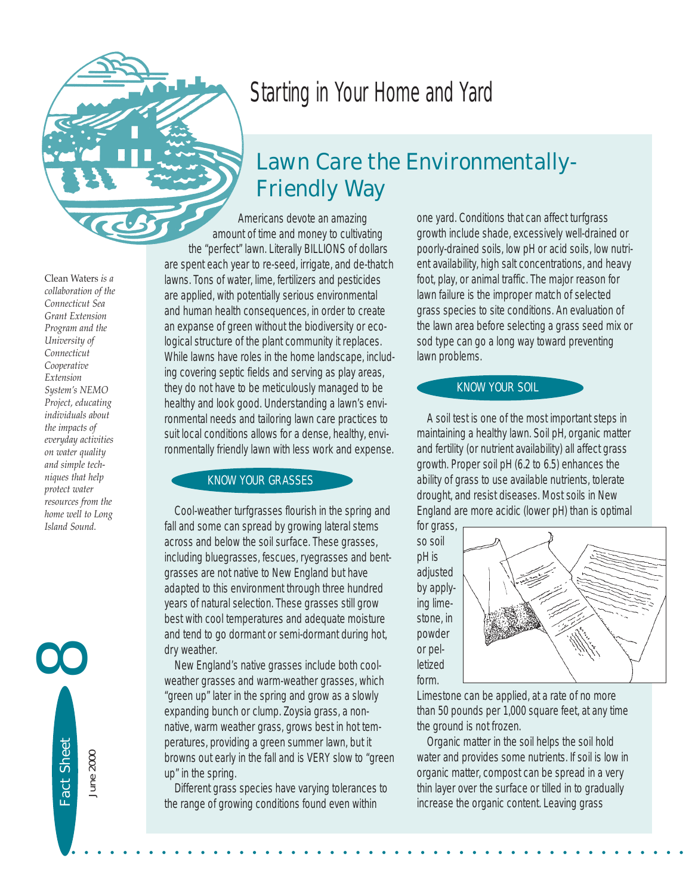

# *Starting in Your Home and Yard*

## *Lawn Care the Environmentally-Friendly Way*

Americans devote an amazing amount of time and money to cultivating the "perfect" lawn. Literally BILLIONS of dollars are spent each year to re-seed, irrigate, and de-thatch lawns. Tons of water, lime, fertilizers and pesticides are applied, with potentially serious environmental and human health consequences, in order to create an expanse of green without the biodiversity or ecological structure of the plant community it replaces. While lawns have roles in the home landscape, including covering septic fields and serving as play areas, they do not have to be meticulously managed to be healthy and look good. Understanding a lawn's environmental needs and tailoring lawn care practices to suit local conditions allows for a dense, healthy, environmentally friendly lawn with less work and expense.

#### KNOW YOUR GRASSES

Cool-weather turfgrasses flourish in the spring and fall and some can spread by growing lateral stems across and below the soil surface. These grasses, including bluegrasses, fescues, ryegrasses and bentgrasses are not native to New England but have adapted to this environment through three hundred years of natural selection. These grasses still grow best with cool temperatures and adequate moisture and tend to go dormant or semi-dormant during hot, dry weather.

New England's native grasses include both coolweather grasses and warm-weather grasses, which "green up" later in the spring and grow as a slowly expanding bunch or clump. Zoysia grass, a nonnative, warm weather grass, grows best in hot temperatures, providing a green summer lawn, but it browns out early in the fall and is VERY slow to "green up" in the spring.

Different grass species have varying tolerances to the range of growing conditions found even within

one yard. Conditions that can affect turfgrass growth include shade, excessively well-drained or poorly-drained soils, low pH or acid soils, low nutrient availability, high salt concentrations, and heavy foot, play, or animal traffic. The major reason for lawn failure is the improper match of selected grass species to site conditions. An evaluation of the lawn area before selecting a grass seed mix or sod type can go a long way toward preventing lawn problems.

## KNOW YOUR SOIL

A soil test is one of the most important steps in maintaining a healthy lawn. Soil pH, organic matter and fertility (or nutrient availability) all affect grass growth. Proper soil pH (6.2 to 6.5) enhances the ability of grass to use available nutrients, tolerate drought, and resist diseases. Most soils in New England are more acidic (lower pH) than is optimal

for grass, so soil pH is adjusted by applying limestone, in powder or pelletized form.

• • • • • • • • • • • • • • • • • • • • • • • • • • • • • • • • • • • • • • • • • • • • • • • •



Limestone can be applied, at a rate of no more than 50 pounds per 1,000 square feet, at any time the ground is not frozen.

Organic matter in the soil helps the soil hold water and provides some nutrients. If soil is low in organic matter, compost can be spread in a very thin layer over the surface or tilled in to gradually increase the organic content. Leaving grass

Clean Waters *is a collaboration of the Connecticut Sea Grant Extension Program and the University of Connecticut Cooperative Extension System's NEMO Project, educating individuals about the impacts of everyday activities on water quality and simple techniques that help protect water resources from the home well to Long Island Sound.* 

> Fact Sheet Fact Sheet June 2000 June 2000

8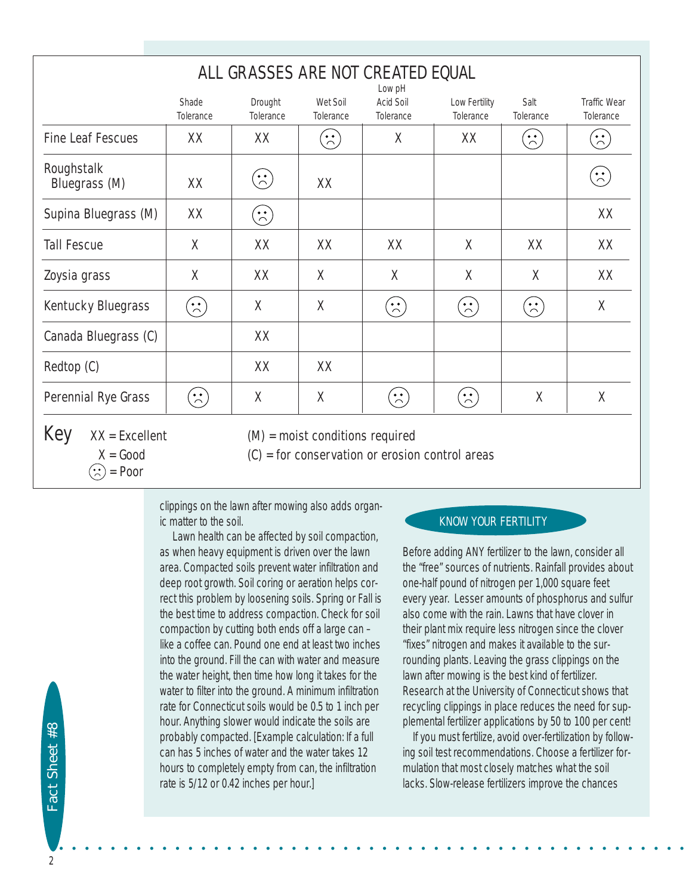| ALL GRASSES ARE NOT CREATED EQUAL |                                                                             |                                                                           |                                                     |                                    |                            |                                                                  |                                                          |  |
|-----------------------------------|-----------------------------------------------------------------------------|---------------------------------------------------------------------------|-----------------------------------------------------|------------------------------------|----------------------------|------------------------------------------------------------------|----------------------------------------------------------|--|
|                                   | Shade<br>Tolerance                                                          | Drought<br>Tolerance                                                      | Wet Soil<br>Tolerance                               | Low pH<br>Acid Soil<br>Tolerance   | Low Fertility<br>Tolerance | Salt<br>Tolerance                                                | <b>Traffic Wear</b><br>Tolerance                         |  |
| <b>Fine Leaf Fescues</b>          | XX                                                                          | XX                                                                        | $\left( \begin{array}{c} \cdot \end{array} \right)$ | Χ                                  | XX                         | $\left( \begin{matrix} \cdot \end{matrix} \right)$               | $\left( \begin{array}{c} \cdot \end{array} \right)$      |  |
| Roughstalk<br>Bluegrass (M)       | XX                                                                          | $\left(\begin{matrix} \cdot & \cdot \\ \cdot & \cdot \end{matrix}\right)$ | XX                                                  |                                    |                            |                                                                  | $\left(\begin{matrix} \cdot & \cdot \end{matrix}\right)$ |  |
| Supina Bluegrass (M)              | XX                                                                          | $\binom{1}{1}$                                                            |                                                     |                                    |                            |                                                                  | XX                                                       |  |
| <b>Tall Fescue</b>                | Χ                                                                           | XX                                                                        | XX                                                  | XX                                 | $\times$                   | XX                                                               | XX                                                       |  |
| Zoysia grass                      | Χ                                                                           | XX                                                                        | Χ                                                   | Χ                                  | X                          | Χ                                                                | XX                                                       |  |
| Kentucky Bluegrass                | $\left( \begin{array}{c} \bullet \\ \bullet \\ \bullet \end{array} \right)$ | $\chi$                                                                    | X                                                   | $\left( \frac{1}{\sqrt{2}}\right)$ | $\left[\frac{1}{2}\right]$ | $\left( \begin{array}{c} \bullet \\ \bullet \end{array} \right)$ | $\chi$                                                   |  |
| Canada Bluegrass (C)              |                                                                             | XX                                                                        |                                                     |                                    |                            |                                                                  |                                                          |  |
| Redtop (C)                        |                                                                             | XX                                                                        | XX                                                  |                                    |                            |                                                                  |                                                          |  |
| Perennial Rye Grass               | $\left( \begin{matrix} \cdot & \cdot \\ \cdot & \cdot \end{matrix} \right)$ | Χ                                                                         | Χ                                                   | $\left( \frac{1}{2} \right)$       | $\left(\frac{1}{2}\right)$ | $\chi$                                                           | X                                                        |  |
| Key<br>$XX = Excellent$           |                                                                             |                                                                           | $(M)$ = moist conditions required                   |                                    |                            |                                                                  |                                                          |  |

 $X = Good$  (C) = for conservation or erosion control areas

clippings on the lawn after mowing also adds organic matter to the soil.

Lawn health can be affected by soil compaction, as when heavy equipment is driven over the lawn area. Compacted soils prevent water infiltration and deep root growth. Soil coring or aeration helps correct this problem by loosening soils. Spring or Fall is the best time to address compaction. Check for soil compaction by cutting both ends off a large can – like a coffee can. Pound one end at least two inches into the ground. Fill the can with water and measure the water height, then time how long it takes for the water to filter into the ground. A minimum infiltration rate for Connecticut soils would be 0.5 to 1 inch per hour. Anything slower would indicate the soils are probably compacted. [Example calculation: If a full can has 5 inches of water and the water takes 12 hours to completely empty from can, the infiltration rate is 5/12 or 0.42 inches per hour.]

## KNOW YOUR FERTILITY

Before adding ANY fertilizer to the lawn, consider all the "free" sources of nutrients. Rainfall provides about one-half pound of nitrogen per 1,000 square feet every year. Lesser amounts of phosphorus and sulfur also come with the rain. Lawns that have clover in their plant mix require less nitrogen since the clover "fixes" nitrogen and makes it available to the surrounding plants. Leaving the grass clippings on the lawn after mowing is the best kind of fertilizer. Research at the University of Connecticut shows that recycling clippings in place reduces the need for supplemental fertilizer applications by 50 to 100 per cent!

If you must fertilize, avoid over-fertilization by following soil test recommendations. Choose a fertilizer formulation that most closely matches what the soil lacks. Slow-release fertilizers improve the chances

 $\langle \cdot \rangle$  = Poor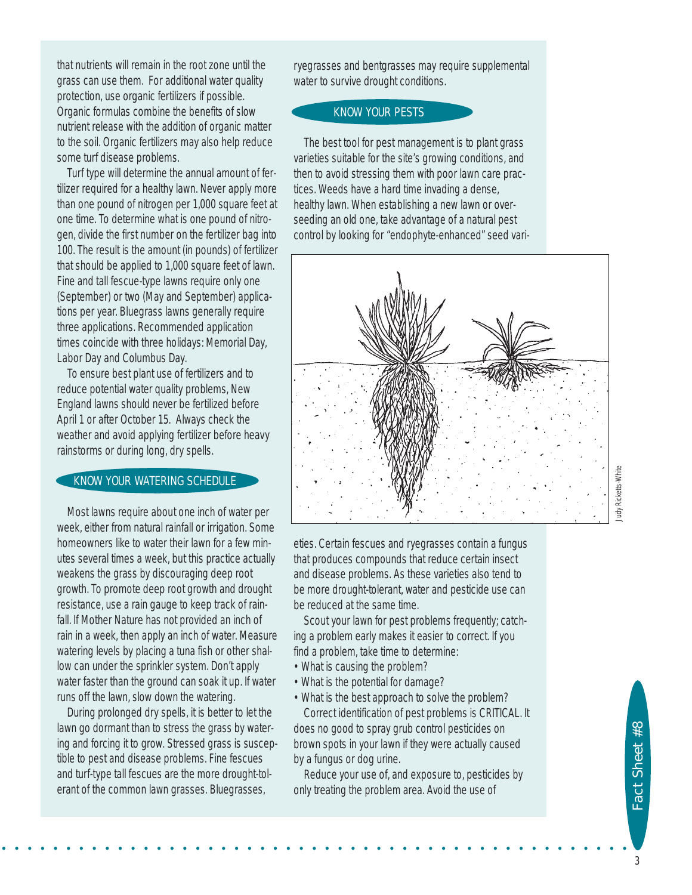that nutrients will remain in the root zone until the grass can use them. For additional water quality protection, use organic fertilizers if possible. Organic formulas combine the benefits of slow nutrient release with the addition of organic matter to the soil. Organic fertilizers may also help reduce some turf disease problems.

Turf type will determine the annual amount of fertilizer required for a healthy lawn. Never apply more than one pound of nitrogen per 1,000 square feet at one time. To determine what is one pound of nitrogen, divide the first number on the fertilizer bag into 100. The result is the amount (in pounds) of fertilizer that should be applied to 1,000 square feet of lawn. Fine and tall fescue-type lawns require only one (September) or two (May and September) applications per year. Bluegrass lawns generally require three applications. Recommended application times coincide with three holidays: Memorial Day, Labor Day and Columbus Day.

To ensure best plant use of fertilizers and to reduce potential water quality problems, New England lawns should never be fertilized before April 1 or after October 15. Always check the weather and avoid applying fertilizer before heavy rainstorms or during long, dry spells.

## KNOW YOUR WATERING SCHEDULE

Most lawns require about one inch of water per week, either from natural rainfall or irrigation. Some homeowners like to water their lawn for a few minutes several times a week, but this practice actually weakens the grass by discouraging deep root growth. To promote deep root growth and drought resistance, use a rain gauge to keep track of rainfall. If Mother Nature has not provided an inch of rain in a week, then apply an inch of water. Measure watering levels by placing a tuna fish or other shallow can under the sprinkler system. Don't apply water faster than the ground can soak it up. If water runs off the lawn, slow down the watering.

During prolonged dry spells, it is better to let the lawn go dormant than to stress the grass by watering and forcing it to grow. Stressed grass is susceptible to pest and disease problems. Fine fescues and turf-type tall fescues are the more drought-tolerant of the common lawn grasses. Bluegrasses,

ryegrasses and bentgrasses may require supplemental water to survive drought conditions.

### KNOW YOUR PESTS

The best tool for pest management is to plant grass varieties suitable for the site's growing conditions, and then to avoid stressing them with poor lawn care practices. Weeds have a hard time invading a dense, healthy lawn. When establishing a new lawn or overseeding an old one, take advantage of a natural pest control by looking for "endophyte-enhanced" seed vari-



eties. Certain fescues and ryegrasses contain a fungus that produces compounds that reduce certain insect and disease problems. As these varieties also tend to be more drought-tolerant, water and pesticide use can be reduced at the same time.

Scout your lawn for pest problems frequently; catching a problem early makes it easier to correct. If you find a problem, take time to determine:

• What is causing the problem?

• • • • • • • • • • • • • • • • • • • • • • • • • • • • • • • • • • • • • • • • • • • • • • • • •

- What is the potential for damage?
- What is the best approach to solve the problem? Correct identification of pest problems is CRITICAL. It does no good to spray grub control pesticides on brown spots in your lawn if they were actually caused by a fungus or dog urine.

Reduce your use of, and exposure to, pesticides by only treating the problem area. Avoid the use of